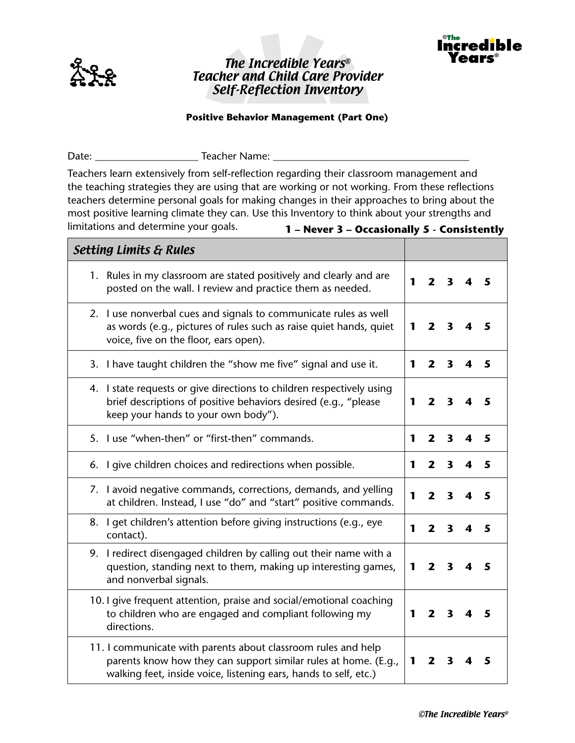

## The Incredible Years® Teacher and Child Care Provider Self-Reflection Inventory



## **Positive Behavior Management (Part One)**

Date: \_\_\_\_\_\_\_\_\_\_\_\_\_\_\_\_\_\_\_\_ Teacher Name: \_\_\_\_\_\_\_\_\_\_\_\_\_\_\_\_\_\_\_\_\_\_\_\_\_\_\_\_\_\_\_\_\_\_\_\_\_\_ Teachers learn extensively from self-reflection regarding their classroom management and the teaching strategies they are using that are working or not working. From these reflections teachers determine personal goals for making changes in their approaches to bring about the most positive learning climate they can. Use this Inventory to think about your strengths and limitations and determine your goals. Setting Limits & Rules 1. Rules in my classroom are stated positively and clearly and are posted on the wall. I review and practice them as needed.  $\begin{vmatrix} 1 & 2 & 3 & 4 & 5 \\ 1 & 2 & 3 & 4 & 5 \end{vmatrix}$ 2. I use nonverbal cues and signals to communicate rules as well as words (e.g., pictures of rules such as raise quiet hands, quiet voice, five on the floor, ears open). **1 2 3 4 5** 3. I have taught children the "show me five" signal and use it. **1 2 3 4 5** 4. I state requests or give directions to children respectively using brief descriptions of positive behaviors desired (e.g., "please keep your hands to your own body"). **1 2 3 4 5** 5. I use "when-then" or "first-then" commands. **1 2 3 4 5** 6. I give children choices and redirections when possible. **1 2 3 4 5** 7. I avoid negative commands, corrections, demands, and yelling at children. Instead, I use "do" and "start" positive commands. **1 2 3 4 5** 8. I get children's attention before giving instructions (e.g., eye contact). **1 2 3 4 5** 9. I redirect disengaged children by calling out their name with a question, standing next to them, making up interesting games, and nonverbal signals. **1 2 3 4 5** 10. I give frequent attention, praise and social/emotional coaching to children who are engaged and compliant following my directions. **1 2 3 4 5** 11. I communicate with parents about classroom rules and help parents know how they can support similar rules at home. (E.g., walking feet, inside voice, listening ears, hands to self, etc.) **1 2 3 4 5 1 – Never 3 – Occasionally 5 - Consistently**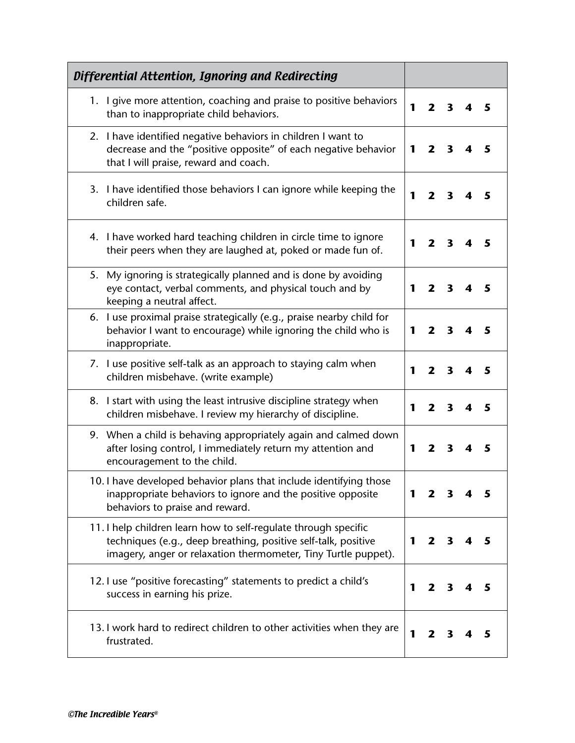| Differential Attention, Ignoring and Redirecting                                                                                                                                                    |   |                         |                         |   |   |
|-----------------------------------------------------------------------------------------------------------------------------------------------------------------------------------------------------|---|-------------------------|-------------------------|---|---|
| 1. I give more attention, coaching and praise to positive behaviors<br>than to inappropriate child behaviors.                                                                                       | 1 | $\mathbf{2}$            | 3                       | 4 | 5 |
| 2. I have identified negative behaviors in children I want to<br>decrease and the "positive opposite" of each negative behavior<br>that I will praise, reward and coach.                            | 1 | $\mathbf{2}$            | $\mathbf{3}$            |   | 5 |
| 3. I have identified those behaviors I can ignore while keeping the<br>children safe.                                                                                                               | 1 | $\mathbf{2}$            | 3                       |   | 5 |
| 4. I have worked hard teaching children in circle time to ignore<br>their peers when they are laughed at, poked or made fun of.                                                                     | 1 | $\overline{\mathbf{2}}$ | $\mathbf{3}$            | 4 | 5 |
| 5. My ignoring is strategically planned and is done by avoiding<br>eye contact, verbal comments, and physical touch and by<br>keeping a neutral affect.                                             | 1 | $\mathbf{2}$            | $\overline{\mathbf{3}}$ | 4 | 5 |
| I use proximal praise strategically (e.g., praise nearby child for<br>6.<br>behavior I want to encourage) while ignoring the child who is<br>inappropriate.                                         | 1 | $\mathbf{2}$            | $\mathbf{3}$            | 4 | 5 |
| 7. I use positive self-talk as an approach to staying calm when<br>children misbehave. (write example)                                                                                              | 1 | $\mathbf{2}$            | 3                       |   | 5 |
| 8. I start with using the least intrusive discipline strategy when<br>children misbehave. I review my hierarchy of discipline.                                                                      | 1 | $\overline{\mathbf{z}}$ | $\mathbf{3}$            | 4 | 5 |
| 9. When a child is behaving appropriately again and calmed down<br>after losing control, I immediately return my attention and<br>encouragement to the child.                                       | 1 | $\mathbf{2}$            | 3                       | 4 | 5 |
| 10. I have developed behavior plans that include identifying those<br>inappropriate behaviors to ignore and the positive opposite<br>behaviors to praise and reward.                                | 1 | 2                       | 3                       |   | 5 |
| 11. I help children learn how to self-regulate through specific<br>techniques (e.g., deep breathing, positive self-talk, positive<br>imagery, anger or relaxation thermometer, Tiny Turtle puppet). | 1 | $\mathbf{2}$            | 3                       | 4 | 5 |
| 12. I use "positive forecasting" statements to predict a child's<br>success in earning his prize.                                                                                                   | 1 | $\mathbf{2}$            | 3                       |   | 5 |
| 13. I work hard to redirect children to other activities when they are<br>frustrated.                                                                                                               | 1 | 2                       |                         |   | 5 |